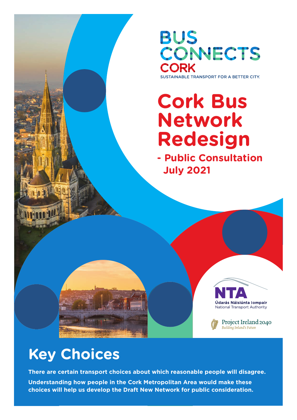**BUS** CONNECTS **CORK** 

SUSTAINABLE TRANSPORT FOR A BETTER CITY.

# **Cork Bus Network Redesign**

**- Public Consultation July 2021**





## **Key Choices**

**There are certain transport choices about which reasonable people will disagree.**

**Understanding how people in the Cork Metropolitan Area would make these choices will help us develop the Draft New Network for public consideration.**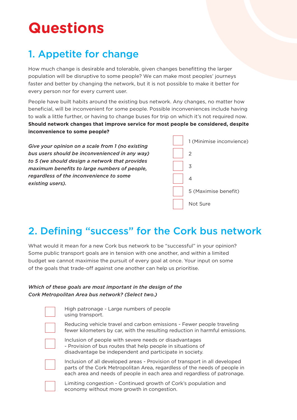## **Questions**

### 1. Appetite for change

How much change is desirable and tolerable, given changes benefitting the larger population will be disruptive to some people? We can make most peoples' journeys faster and better by changing the network, but it is not possible to make it better for every person nor for every current user.

People have built habits around the existing bus network. Any changes, no matter how beneficial, will be inconvenient for some people. Possible inconveniences include having to walk a little further, or having to change buses for trip on which it's not required now. **Should network changes that improve service for most people be considered, despite inconvenience to some people?**

*Give your opinion on a scale from 1 (no existing bus users should be inconvenienced in any way) to 5 (we should design a network that provides maximum benefits to large numbers of people, regardless of the inconvenience to some existing users).*

| 1 (Minimise inconvience) |
|--------------------------|
| 2                        |
| 3                        |
| 4                        |
| 5 (Maximise benefit)     |
| Not Sure                 |

### 2. Defining "success" for the Cork bus network

What would it mean for a new Cork bus network to be "successful" in your opinion? Some public transport goals are in tension with one another, and within a limited budget we cannot maximise the pursuit of every goal at once. Your input on some of the goals that trade-off against one another can help us prioritise.

#### *Which of these goals are most important in the design of the Cork Metropolitan Area bus network? (Select two.)*

| High patronage - Large numbers of people<br>using transport.                                                                                                                                                                       |
|------------------------------------------------------------------------------------------------------------------------------------------------------------------------------------------------------------------------------------|
| Reducing vehicle travel and carbon emissions - Fewer people traveling<br>fewer kilometers by car, with the resulting reduction in harmful emissions.                                                                               |
| Inclusion of people with severe needs or disadvantages<br>- Provision of bus routes that help people in situations of<br>disadvantage be independent and participate in society.                                                   |
| Inclusion of all developed areas - Provision of transport in all developed<br>parts of the Cork Metropolitan Area, regardless of the needs of people in<br>each area and needs of people in each area and regardless of patronage. |
| In the set of the contract of the contract of $\alpha$ . It is a contract of the contract of the contract of the contract of the contract of the contract of the contract of the contract of the contract of the contract of the   |

Limiting congestion - Continued growth of Cork's population and economy without more growth in congestion.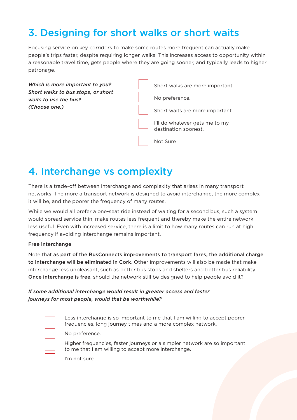### 3. Designing for short walks or short waits

Focusing service on key corridors to make some routes more frequent can actually make people's trips faster, despite requiring longer walks. This increases access to opportunity within a reasonable travel time, gets people where they are going sooner, and typically leads to higher patronage.



### 4. Interchange vs complexity

There is a trade-off between interchange and complexity that arises in many transport networks. The more a transport network is designed to avoid interchange, the more complex it will be, and the poorer the frequency of many routes.

While we would all prefer a one-seat ride instead of waiting for a second bus, such a system would spread service thin, make routes less frequent and thereby make the entire network less useful. Even with increased service, there is a limit to how many routes can run at high frequency if avoiding interchange remains important.

#### Free interchange

Note that as part of the BusConnects improvements to transport fares, the additional charge to interchange will be eliminated in Cork. Other improvements will also be made that make interchange less unpleasant, such as better bus stops and shelters and better bus reliability. Once interchange is free, should the network still be designed to help people avoid it?

#### *If some additional interchange would result in greater access and faster journeys for most people, would that be worthwhile?*

Less interchange is so important to me that I am willing to accept poorer frequencies, long journey times and a more complex network.

No preference.

Higher frequencies, faster journeys or a simpler network are so important to me that I am willing to accept more interchange.

I'm not sure.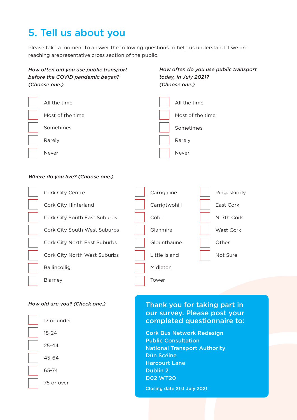### 5. Tell us about you

Please take a moment to answer the following questions to help us understand if we are reaching arepresentative cross section of the public.



#### *How old are you? (Check one.)*

Blarney



#### Thank you for taking part in our survey. Please post your completed questionnaire to:

Cork Bus Network Redesign Public Consultation National Transport Authority Dún Scéine Harcourt Lane Dublin 2 D02 WT20

Closing date 21st July 2021

Tower